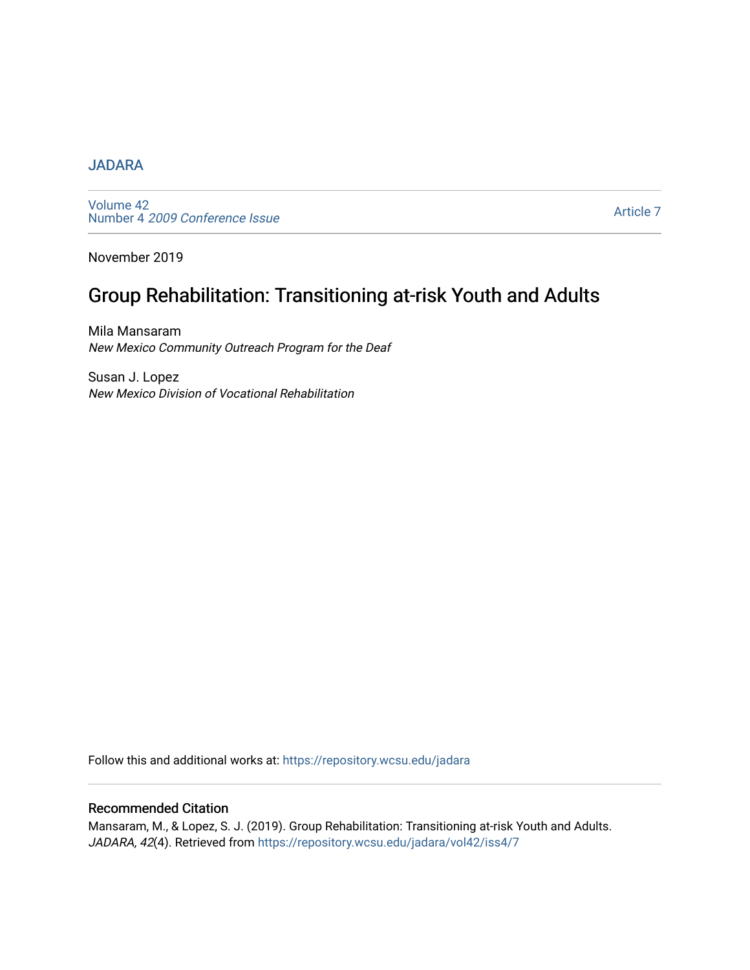### [JADARA](https://repository.wcsu.edu/jadara)

[Volume 42](https://repository.wcsu.edu/jadara/vol42)  Number 4 [2009 Conference Issue](https://repository.wcsu.edu/jadara/vol42/iss4) 

[Article 7](https://repository.wcsu.edu/jadara/vol42/iss4/7) 

November 2019

# Group Rehabilitation: Transitioning at-risk Youth and Adults

Mila Mansaram New Mexico Community Outreach Program for the Deaf

Susan J. Lopez New Mexico Division of Vocational Rehabilitation

Follow this and additional works at: [https://repository.wcsu.edu/jadara](https://repository.wcsu.edu/jadara?utm_source=repository.wcsu.edu%2Fjadara%2Fvol42%2Fiss4%2F7&utm_medium=PDF&utm_campaign=PDFCoverPages)

#### Recommended Citation

Mansaram, M., & Lopez, S. J. (2019). Group Rehabilitation: Transitioning at-risk Youth and Adults. JADARA, 42(4). Retrieved from [https://repository.wcsu.edu/jadara/vol42/iss4/7](https://repository.wcsu.edu/jadara/vol42/iss4/7?utm_source=repository.wcsu.edu%2Fjadara%2Fvol42%2Fiss4%2F7&utm_medium=PDF&utm_campaign=PDFCoverPages)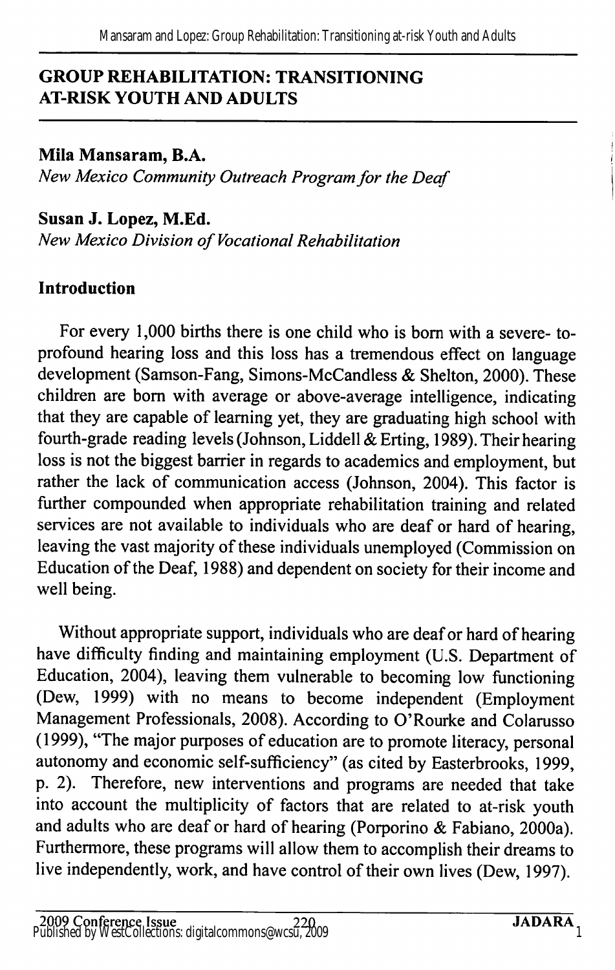### GROUP REHABILITATION: TRANSITIONING AT-RISK YOUTH AND ADULTS

Mila Mansaram, B.A. New Mexico Community Outreach Program for the Deaf

Susan J. Lopez, M.Ed. New Mexico Division of Vocational Rehabilitation

### Introduction

For every 1,000 births there is one child who is bom with a severe- toprofound hearing loss and this loss has a tremendous effect on language development (Samson-Fang, Simons-McCandless & Shelton, 2000). These children are bom with average or above-average intelligence, indicating that they are capable of leaming yet, they are graduating high school with fourth-grade reading levels (Johnson, Liddell & Erting, 1989). Their hearing loss is not the biggest barrier in regards to academics and employment, but rather the lack of communication access (Johnson, 2004). This factor is further compounded when appropriate rehabilitation training and related services are not available to individuals who are deaf or hard of hearing, leaving the vast majority of these individuals unemployed (Commission on Education of the Deaf, 1988) and dependent on society for their income and well being.

Without appropriate support, individuals who are deaf or hard of hearing have difficulty finding and maintaining employment (U.S. Department of Education, 2004), leaving them vulnerable to becoming low functioning (Dew, 1999) with no means to become independent (Employment Management Professionals, 2008). According to O'Rourke and Colarusso (1999), "The major purposes of education are to promote literacy, personal autonomy and economic self-sufficiency" (as cited by Easterbrooks, 1999, p. 2). Therefore, new interventions and programs are needed that take into account the multiplicity of factors that are related to at-risk youth and adults who are deaf or hard of hearing (Porporino & Fabiano, 2000a). Furthermore, these programs will allow them to accomplish their dreams to live independently, work, and have control of their own lives (Dew, 1997).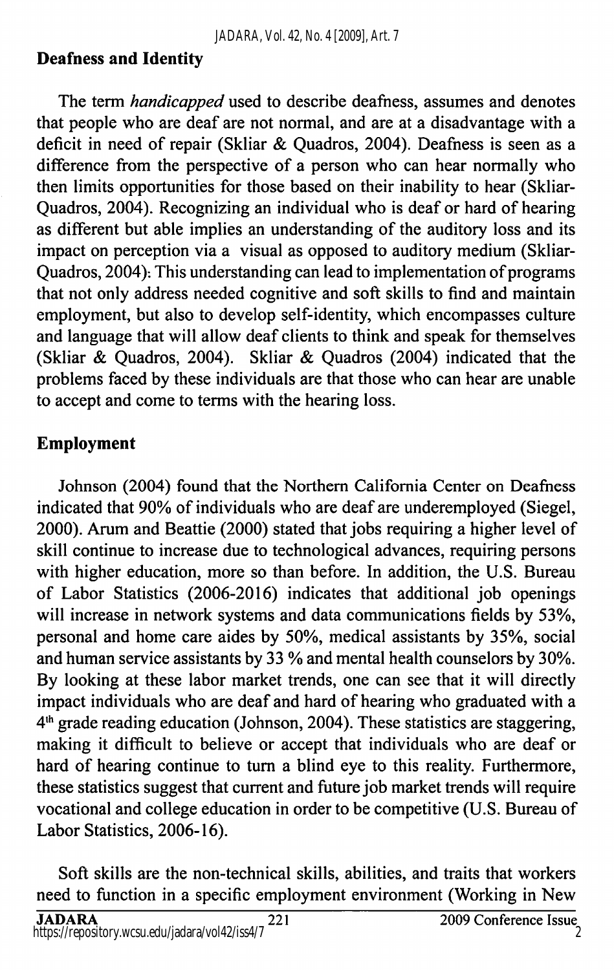### Deafness and Identity

The term *handicapped* used to describe deafness, assumes and denotes that people who are deaf are not normal, and are at a disadvantage with a deficit in need of repair (Skliar & Quadros, 2004). Deafness is seen as a difference from the perspective of a person who can hear normally who then limits opportunities for those based on their inability to hear (Skliar-Quadros, 2004). Recognizing an individual who is deaf or hard of hearing as different but able implies an understanding of the auditory loss and its impact on perception via a visual as opposed to auditory medium (Skliar-Quadros, 2004). This understanding can lead to implementation of programs that not only address needed cognitive and soft skills to find and maintain employment, but also to develop self-identity, which encompasses culture and language that will allow deaf clients to think and speak for themselves (Skliar & Quadros, 2004). Skliar & Quadros (2004) indicated that the problems faced by these individuals are that those who can hear are unable to accept and come to terms with the hearing loss.

### Employment

Johnson (2004) found that the Northern California Center on Deafness indicated that 90% of individuals who are deaf are underemployed (Siegel, 2000). Arum and Beattie (2000) stated that jobs requiring a higher level of skill continue to increase due to technological advances, requiring persons with higher education, more so than before. In addition, the U.S. Bureau of Labor Statistics (2006-2016) indicates that additional job openings will increase in network systems and data communications fields by 53%, personal and home care aides by 50%, medical assistants by 35%, social and human service assistants by 33 % and mental health counselors by 30%. By looking at these labor market trends, one can see that it will directly impact individuals who are deaf and hard of hearing who graduated with a  $4<sup>th</sup>$  grade reading education (Johnson, 2004). These statistics are staggering, making it difficult to believe or accept that individuals who are deaf or hard of hearing continue to turn a blind eye to this reality. Furthermore, these statistics suggest that current and future job market trends will require vocational and college education in order to be competitive (U.S. Bureau of Labor Statistics, 2006-16).

Soft skills are the non-technical skills, abilities, and traits that workers need to function in a specific employment environment (Working in New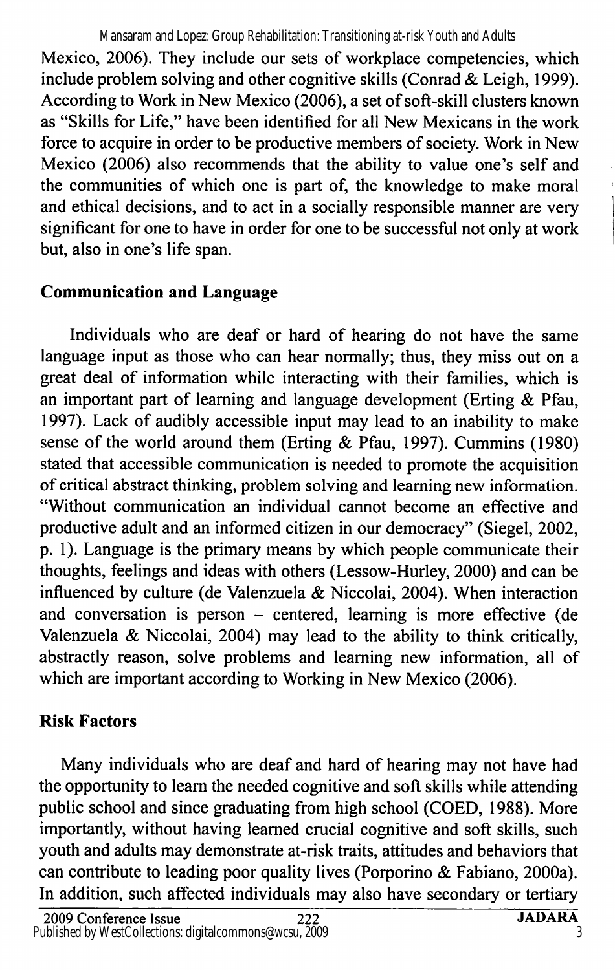Mansaram and Lopez: Group Rehabilitation: Transitioning at-risk Youth and Adults

Mexico, 2006). They include our sets of workplace competencies, which include problem solving and other cognitive skills (Conrad & Leigh, 1999). According to Work in New Mexico (2006), a set of soft-skill clusters known as "Skills for Life," have been identified for all New Mexicans in the work force to acquire in order to be productive members of society. Work in New Mexico (2006) also recommends that the ability to value one's self and the communities of which one is part of, the knowledge to make moral and ethical decisions, and to act in a socially responsible manner are very significant for one to have in order for one to be successful not only at work but, also in one's life span.

## Communication and Language

Individuals who are deaf or hard of hearing do not have the same language input as those who can hear normally; thus, they miss out on a great deal of information while interacting with their families, which is an important part of learning and language development (Erting & Pfau, 1997). Lack of audibly accessible input may lead to an inability to make sense of the world around them (Erting & Pfau, 1997). Cummins (1980) stated that accessible communication is needed to promote the acquisition of critical abstract thinking, problem solving and learning new information. "Without communication an individual cannot become an effective and productive adult and an informed citizen in our democracy" (Siegel, 2002, p. 1). Language is the primary means by which people communicate their thoughts, feelings and ideas with others (Lessow-Hurley, 2000) and can be influenced by culture (de Valenzuela & Niccolai, 2004). When interaction and conversation is person  $-$  centered, learning is more effective (de Valenzuela & Niccolai, 2004) may lead to the ability to think critically, abstractly reason, solve problems and learning new information, all of which are important according to Working in New Mexico (2006).

## Risk Factors

Many individuals who are deaf and hard of hearing may not have had the opportunity to learn the needed cognitive and soft skills while attending public school and since graduating from high school (COED, 1988). More importantly, without having learned crucial cognitive and soft skills, such youth and adults may demonstrate at-risk traits, attitudes and behaviors that can contribute to leading poor quality lives (Porporino & Fabiano, 2000a). In addition, such affected individuals may also have secondary or tertiary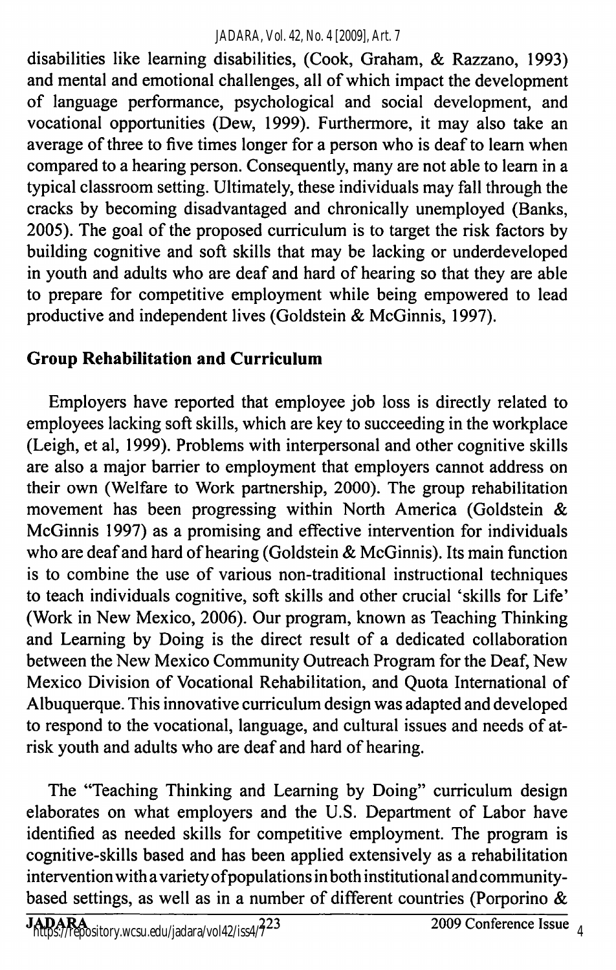disabilities like learning disabilities, (Cook, Graham, & Razzano, 1993) and mental and emotional challenges, all of which impact the development of language performance, psychological and social development, and vocational opportunities (Dew, 1999). Furthermore, it may also take an average of three to five times longer for a person who is deaf to learn when compared to a hearing person. Consequently, many are not able to learn in a typical classroom setting. Ultimately, these individuals may fall through the cracks by becoming disadvantaged and chronically unemployed (Banks, 2005). The goal of the proposed curriculum is to target the risk factors by building cognitive and soft skills that may be lacking or underdeveloped in youth and adults who are deaf and hard of hearing so that they are able to prepare for competitive employment while being empowered to lead productive and independent lives (Goldstein & McGinnis, 1997).

## Group Rehabilitation and Curriculum

Employers have reported that employee job loss is directly related to employees lacking soft skills, which are key to succeeding in the workplace (Leigh, et al, 1999). Problems with interpersonal and other cognitive skills are also a major barrier to employment that employers cannot address on their own (Welfare to Work partnership, 2000). The group rehabilitation movement has been progressing within North America (Goldstein & McGinnis 1997) as a promising and effective intervention for individuals who are deaf and hard of hearing (Goldstein & McGinnis). Its main function is to combine the use of various non-traditional instructional techniques to teach individuals cognitive, soft skills and other crucial 'skills for Life' (Work in New Mexico, 2006). Our program, known as Teaching Thinking and Learning by Doing is the direct result of a dedicated collaboration between the New Mexico Community Outreach Program for the Deaf, New Mexico Division of Vocational Rehabilitation, and Quota International of Albuquerque. This innovative curriculum design was adapted and developed to respond to the vocational, language, and cultural issues and needs of atrisk youth and adults who are deaf and hard of hearing.

The "Teaching Thinking and Learning by Doing" curriculum design elaborates on what employers and the U.S. Department of Labor have identified as needed skills for competitive employment. The program is cognitive-skills based and has been applied extensively as a rehabilitation intervention with a variety ofpopulations in both institutional and communitybased settings, as well as in a number of different countries (Porporino &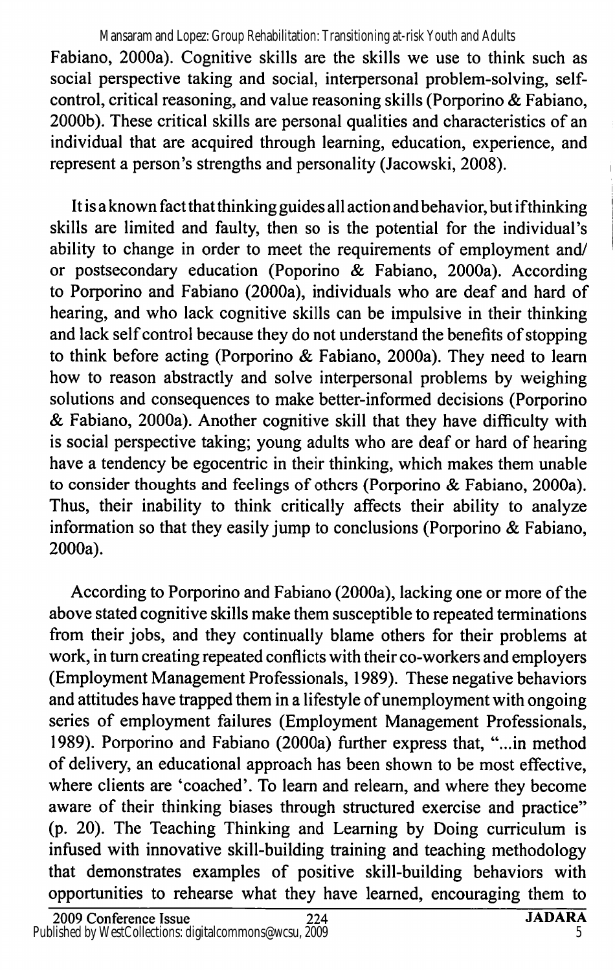Fabiano, 2000a). Cognitive skills are the skills we use to think such as social perspective taking and social, interpersonal problem-solving, selfcontrol, critical reasoning, and value reasoning skills (Porporino & Fabiano, 2000b). These critical skills are personal qualities and characteristics of an individual that are acquired through learning, education, experience, and represent a person's strengths and personality (Jacowski, 2008). Mansaram and Lopez: Group Rehabilitation: Transitioning at-risk Youth and Adults

It is a known fact that thinking guides all action and behavior, but if thinking skills are limited and faulty, then so is the potential for the individual's ability to change in order to meet the requirements of employment and/ or postsecondary education (Poporino & Fabiano, 2000a). According to Porporino and Fabiano (2000a), individuals who are deaf and hard of hearing, and who lack cognitive skills can be impulsive in their thinking and lack self control because they do not understand the benefits of stopping to think before acting (Porporino & Fabiano, 2000a). They need to learn how to reason abstractly and solve interpersonal problems by weighing solutions and consequences to make better-informed decisions (Porporino & Fabiano, 2000a). Another cognitive skill that they have difficulty with is social perspective taking; young adults who are deaf or hard of hearing have a tendency be egocentric in their thinking, which makes them unable to consider thoughts and feelings of others (Porporino & Fabiano, 2000a). Thus, their inability to think critically affects their ability to analyze information so that they easily jump to conclusions (Porporino & Fabiano, 2000a).

According to Porporino and Fabiano (2000a), lacking one or more of the above stated cognitive skills make them susceptible to repeated terminations from their jobs, and they continually blame others for their problems at work, in turn creating repeated conflicts with their co-workers and employers (Employment Management Professionals, 1989). These negative behaviors and attitudes have trapped them in a lifestyle of unemployment with ongoing series of employment failures (Employment Management Professionals, 1989). Porporino and Fabiano (2000a) further express that, "...in method of delivery, an educational approach has been shown to be most effective, where clients are 'coached'. To learn and releam, and where they become aware of their thinking biases through structured exercise and practice" (p. 20). The Teaching Thinking and Learning by Doing curriculum is infused with innovative skill-building training and teaching methodology that demonstrates examples of positive skill-building behaviors with opportunities to rehearse what they have learned, encouraging them to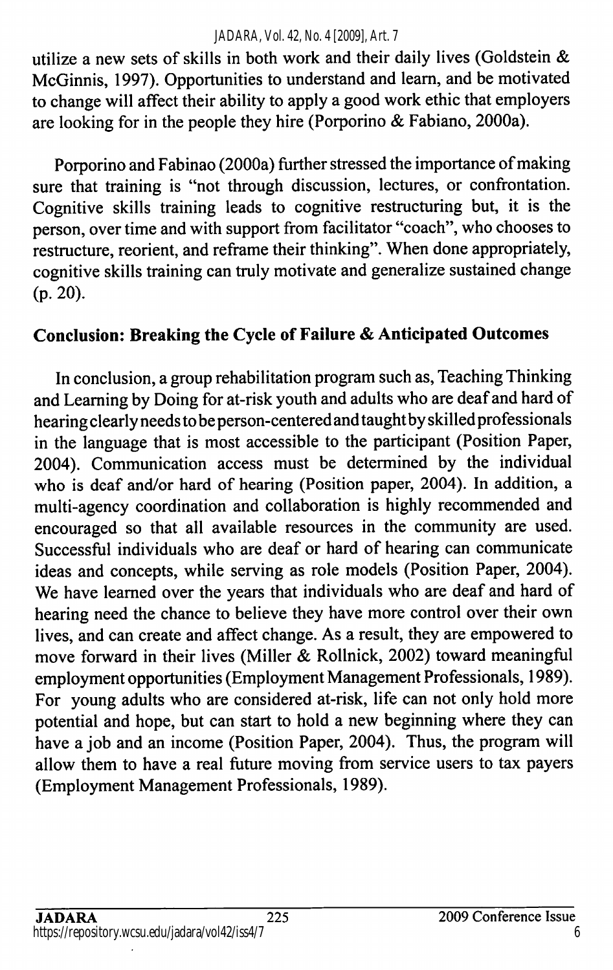#### *JADARA, Vol. 42, No. 4 [2009], Art. 7*

utilize a new sets of skills in both work and their daily lives (Goldstein & McGinnis, 1997). Opportunities to understand and learn, and be motivated to change will affect their ability to apply a good work ethic that employers are looking for in the people they hire (Porporino & Fabiano, 2000a).

Porporino and Fabinao (2000a) further stressed the importance of making sure that training is "not through discussion, lectures, or confrontation. Cognitive skills training leads to cognitive restructuring but, it is the person, over time and with support from facilitator "coach", who chooses to restructure, reorient, and reffame their thinking". When done appropriately, cognitive skills training can truly motivate and generalize sustained change (p. 20).

### Conclusion: Breaking the Cycle of Failure & Anticipated Outcomes

In conclusion, a group rehabilitation program such as. Teaching Thinking and Learning by Doing for at-risk youth and adults who are deaf and hard of hearing clearly needs to be person-centered and taught by skilled professionals in the language that is most accessible to the participant (Position Paper, 2004). Communication access must be determined by the individual who is deaf and/or hard of hearing (Position paper, 2004). In addition, a multi-agency coordination and collaboration is highly recommended and encouraged so that all available resources in the community are used. Successful individuals who are deaf or hard of hearing can communicate ideas and concepts, while serving as role models (Position Paper, 2004). We have learned over the years that individuals who are deaf and hard of hearing need the chance to believe they have more control over their own lives, and can create and affect change. As a result, they are empowered to move forward in their lives (Miller & Rollnick, 2002) toward meaningful employment opportunities (Employment Management Professionals, 1989). For young adults who are considered at-risk, life can not only hold more potential and hope, but can start to hold a new beginning where they can have a job and an income (Position Paper, 2004). Thus, the program will allow them to have a real future moving from service users to tax payers (Employment Management Professionals, 1989).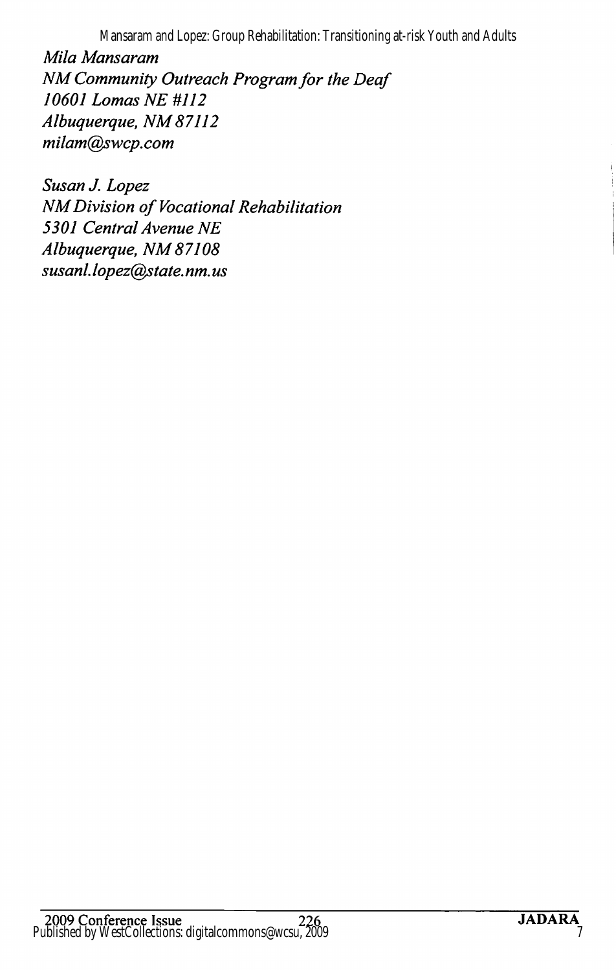Mansaram and Lopez: Group Rehabilitation: Transitioning at-risk Youth and Adults

Mila Mansaram NM Community Outreach Program for the Deaf 10601 Lomas NE #112 Albuquerque, NM 87112 milam@swcp. com

Susan J. Lopez NM Division of Vocational Rehabilitation 5301 Central Avenue NE Albuquerque, NM87108 susanl. lopez@state. nm. us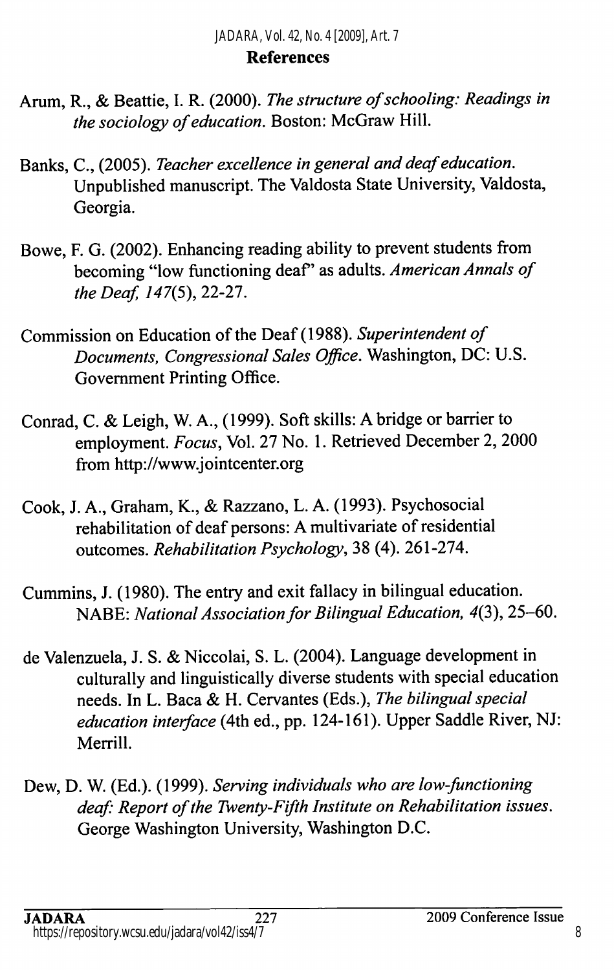#### References

- Arum, R., & Beattie, I. R. (2000). The structure of schooling: Readings in the sociology of education. Boston: McGraw Hill.
- Banks, C., (2005). Teacher excellence in general and deaf education. Unpublished manuscript. The Valdosta State University, Valdosta, Georgia.
- Bowe, F. G. (2002). Enhancing reading ability to prevent students from becoming "low functioning deaf" as adults. American Annals of the Deaf,  $147(5)$ , 22-27.
- Commission on Education of the Deaf (1988). Superintendent of Documents, Congressional Sales Office. Washington, DC: U.S. Government Printing Office.
- Conrad, C. & Leigh, W. A., (1999). Soft skills: A bridge or barrier to employment. Focus, Vol. 27 No. 1. Retrieved December 2, 2000 from http://www.jointcenter.org
- Cook, J. A., Graham, K., & Razzano, L. A. (1993). Psychosocial rehabilitation of deaf persons: A multivariate of residential outcomes. Rehabilitation Psychology, 38 (4). 261-274.
- Cummins, J. (1980). The entry and exit fallacy in bilingual education. NABE: National Association for Bilingual Education, 4(3), 25-60.
- de Valenzuela, J. S. & Niccolai, S. L. (2004). Language development in culturally and linguistically diverse students with special education needs. In L. Baca & H. Cervantes (Eds.), The bilingual special education interface (4th ed., pp. 124-161). Upper Saddle River, NJ: Merrill.
- Dew, D. W. (Ed.). (1999). Serving individuals who are low-functioning deaf: Report of the Twenty-Fifth Institute on Rehabilitation issues. George Washington University, Washington D.C.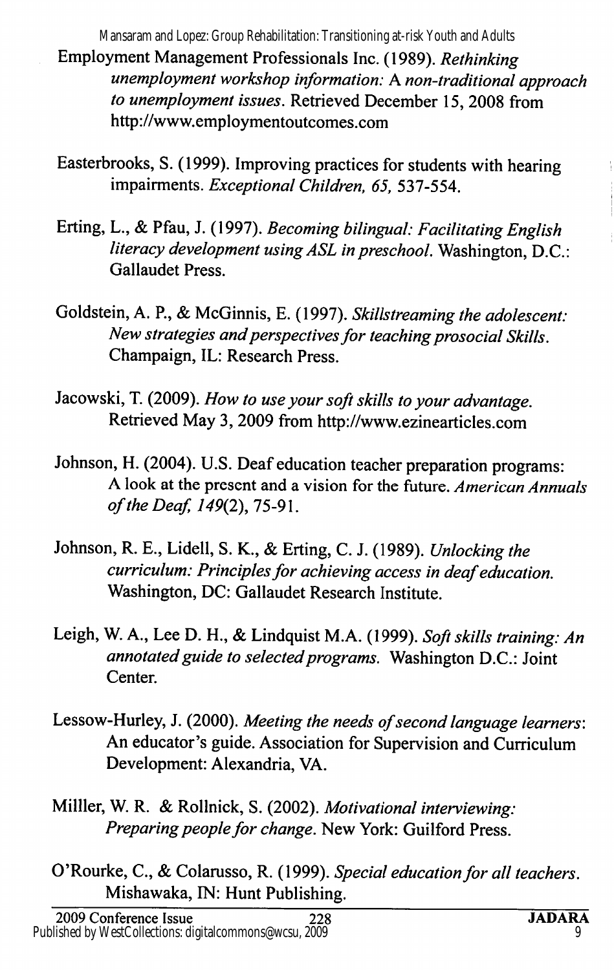Employment Management Professionals Inc. (1989). Rethinking unemployment workshop information: A non-traditional approach to unemployment issues. Retrieved December 15, 2008 from http://www.employmentoutcomes.com Mansaram and Lopez: Group Rehabilitation: Transitioning at-risk Youth and Adults

- Easterbrooks, S. (1999). Improving practices for students with hearing impairments. Exceptional Children, 65, 537-554.
- Erting, L., & Pfau, J. (1997). Becoming bilingual: Facilitating English literacy development using ASL in preschool. Washington, D.C.: Gallaudet Press.
- Goldstein, A. P., & McGinnis, E. (1997). Skillstreaming the adolescent: New strategies and perspectives for teaching prosocial Skills. Champaign, IL: Research Press.
- Jacowski, T. (2009). How to use your soft skills to your advantage. Retrieved May 3, 2009 from http://www.ezinearticles.com
- Johnson, H. (2004). U.S. Deaf education teacher preparation programs: A look at the present and a vision for the future. American Annuals of the Deaf, 149(2), 75-91.
- Johnson, R. E., Lidell, S. K., & Erting, C. J. (1989). Unlocking the curriculum: Principles for achieving access in deaf education. Washington, DC: Gallaudet Research Institute.
- Leigh, W. A., Lee D. H., & Lindquist M.A. (1999). Soft skills training: An annotated guide to selected programs. Washington D.C.: Joint Center.
- Lessow-Hurley, J. (2000). Meeting the needs of second language learners: An educator's guide. Association for Supervision and Curriculum Development: Alexandria, VA.
- Milller, W. R. & Rollnick, S. (2002). Motivational interviewing: Preparing people for change. New York: Guilford Press.
- O'Rourke, C., & Colarusso, R. (1999). Special education for all teachers. Mishawaka, IN: Hunt Publishing.